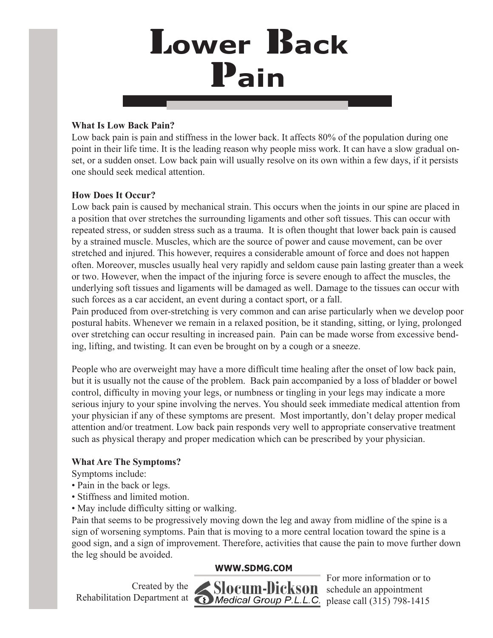## L**ower** B**ack** P**ain**

#### **What Is Low Back Pain?**

Low back pain is pain and stiffness in the lower back. It affects 80% of the population during one point in their life time. It is the leading reason why people miss work. It can have a slow gradual onset, or a sudden onset. Low back pain will usually resolve on its own within a few days, if it persists one should seek medical attention.

## **How Does It Occur?**

Low back pain is caused by mechanical strain. This occurs when the joints in our spine are placed in a position that over stretches the surrounding ligaments and other soft tissues. This can occur with repeated stress, or sudden stress such as a trauma. It is often thought that lower back pain is caused by a strained muscle. Muscles, which are the source of power and cause movement, can be over stretched and injured. This however, requires a considerable amount of force and does not happen often. Moreover, muscles usually heal very rapidly and seldom cause pain lasting greater than a week or two. However, when the impact of the injuring force is severe enough to affect the muscles, the underlying soft tissues and ligaments will be damaged as well. Damage to the tissues can occur with such forces as a car accident, an event during a contact sport, or a fall.

Pain produced from over-stretching is very common and can arise particularly when we develop poor postural habits. Whenever we remain in a relaxed position, be it standing, sitting, or lying, prolonged over stretching can occur resulting in increased pain. Pain can be made worse from excessive bending, lifting, and twisting. It can even be brought on by a cough or a sneeze.

People who are overweight may have a more difficult time healing after the onset of low back pain, but it is usually not the cause of the problem. Back pain accompanied by a loss of bladder or bowel control, difficulty in moving your legs, or numbness or tingling in your legs may indicate a more serious injury to your spine involving the nerves. You should seek immediate medical attention from your physician if any of these symptoms are present. Most importantly, don't delay proper medical attention and/or treatment. Low back pain responds very well to appropriate conservative treatment such as physical therapy and proper medication which can be prescribed by your physician.

## **What Are The Symptoms?**

Symptoms include:

- Pain in the back or legs.
- Stiffness and limited motion.
- May include difficulty sitting or walking.

Pain that seems to be progressively moving down the leg and away from midline of the spine is a sign of worsening symptoms. Pain that is moving to a more central location toward the spine is a good sign, and a sign of improvement. Therefore, activities that cause the pain to move further down the leg should be avoided.

## **WWW.SDMG.COM**

Created by the Rehabilitation Department at



For more information or to schedule an appointment please call (315) 798-1415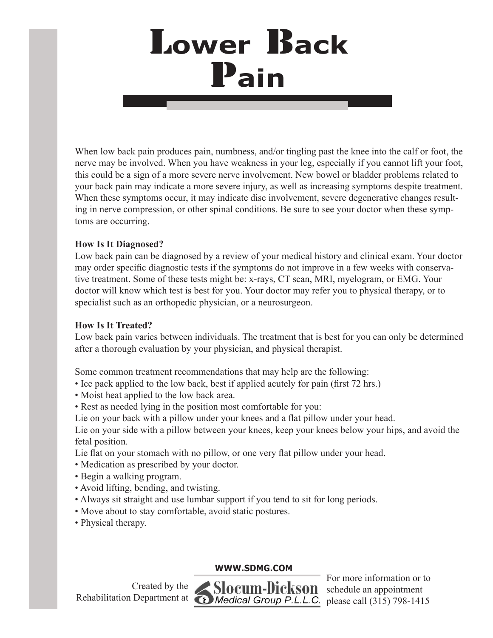## L**ower** B**ack** P**ain**

When low back pain produces pain, numbness, and/or tingling past the knee into the calf or foot, the nerve may be involved. When you have weakness in your leg, especially if you cannot lift your foot, this could be a sign of a more severe nerve involvement. New bowel or bladder problems related to your back pain may indicate a more severe injury, as well as increasing symptoms despite treatment. When these symptoms occur, it may indicate disc involvement, severe degenerative changes resulting in nerve compression, or other spinal conditions. Be sure to see your doctor when these symptoms are occurring.

## **How Is It Diagnosed?**

Low back pain can be diagnosed by a review of your medical history and clinical exam. Your doctor may order specific diagnostic tests if the symptoms do not improve in a few weeks with conservative treatment. Some of these tests might be: x-rays, CT scan, MRI, myelogram, or EMG. Your doctor will know which test is best for you. Your doctor may refer you to physical therapy, or to specialist such as an orthopedic physician, or a neurosurgeon.

## **How Is It Treated?**

Low back pain varies between individuals. The treatment that is best for you can only be determined after a thorough evaluation by your physician, and physical therapist.

Some common treatment recommendations that may help are the following:

- Ice pack applied to the low back, best if applied acutely for pain (first 72 hrs.)
- Moist heat applied to the low back area.
- Rest as needed lying in the position most comfortable for you:
- Lie on your back with a pillow under your knees and a flat pillow under your head.

Lie on your side with a pillow between your knees, keep your knees below your hips, and avoid the fetal position.

Lie flat on your stomach with no pillow, or one very flat pillow under your head.

- Medication as prescribed by your doctor.
- Begin a walking program.
- Avoid lifting, bending, and twisting.
- Always sit straight and use lumbar support if you tend to sit for long periods.
- Move about to stay comfortable, avoid static postures.
- Physical therapy.

## **WWW.SDMG.COM**

Created by the Rehabilitation Department at



For more information or to schedule an appointment please call (315) 798-1415